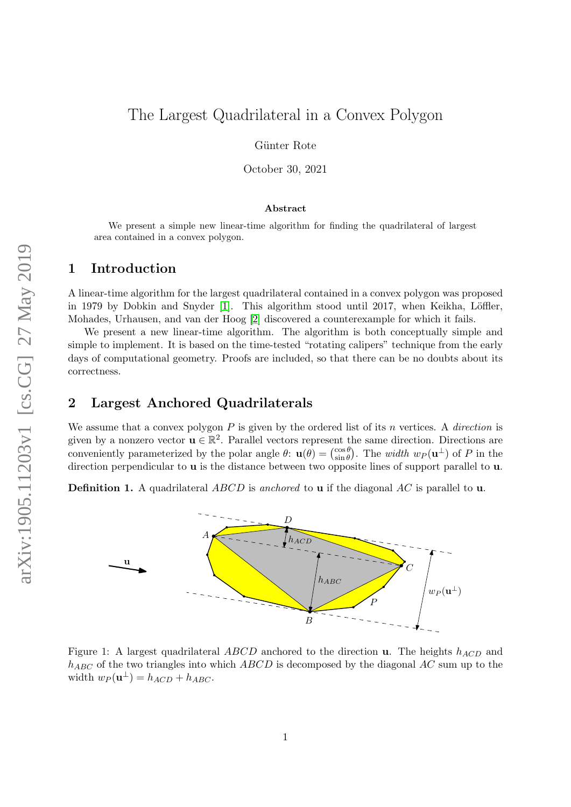Günter Rote

October 30, 2021

#### Abstract

We present a simple new linear-time algorithm for finding the quadrilateral of largest area contained in a convex polygon.

### 1 Introduction

A linear-time algorithm for the largest quadrilateral contained in a convex polygon was proposed in 1979 by Dobkin and Snyder [\[1\]](#page-3-0). This algorithm stood until 2017, when Keikha, Löffler, Mohades, Urhausen, and van der Hoog [\[2\]](#page-3-1) discovered a counterexample for which it fails.

We present a new linear-time algorithm. The algorithm is both conceptually simple and simple to implement. It is based on the time-tested "rotating calipers" technique from the early days of computational geometry. Proofs are included, so that there can be no doubts about its correctness.

## 2 Largest Anchored Quadrilaterals

We assume that a convex polygon  $P$  is given by the ordered list of its n vertices. A *direction* is given by a nonzero vector  $\mathbf{u} \in \mathbb{R}^2$ . Parallel vectors represent the same direction. Directions are conveniently parameterized by the polar angle  $\theta$ :  $\mathbf{u}(\theta) = \begin{pmatrix} \cos \theta \\ \sin \theta \end{pmatrix}$  $\frac{\cos \theta}{\sin \theta}$ . The *width*  $w_P(\mathbf{u}^{\perp})$  of P in the direction perpendicular to **u** is the distance between two opposite lines of support parallel to **u**.

**Definition 1.** A quadrilateral *ABCD* is anchored to **u** if the diagonal *AC* is parallel to **u**.



<span id="page-0-1"></span><span id="page-0-0"></span>Figure 1: A largest quadrilateral ABCD anchored to the direction **u**. The heights  $h_{ACD}$  and  $h_{ABC}$  of the two triangles into which  $ABCD$  is decomposed by the diagonal AC sum up to the width  $w_P(\mathbf{u}^{\perp}) = h_{ACD} + h_{ABC}$ .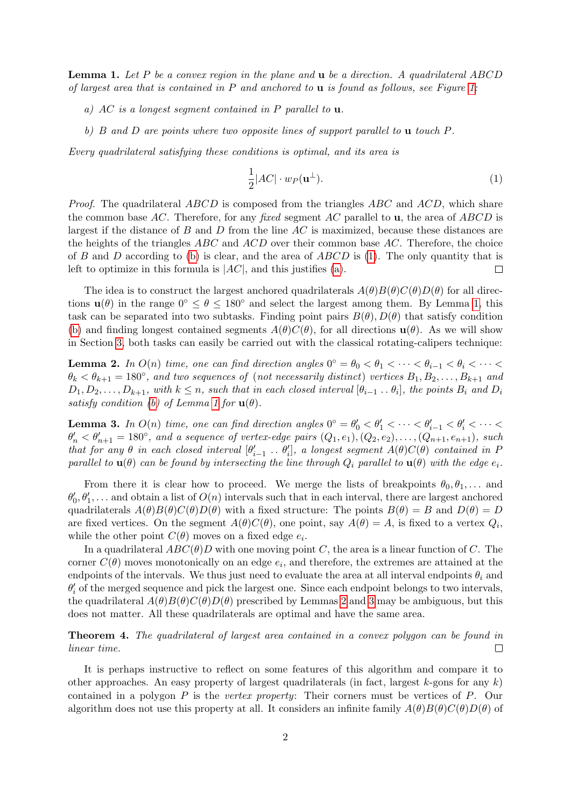**Lemma 1.** Let P be a convex region in the plane and  $\bf{u}$  be a direction. A quadrilateral ABCD of largest area that is contained in  $P$  and anchored to **u** is found as follows, see Figure [1:](#page-0-0)

- <span id="page-1-2"></span>a) AC is a longest segment contained in P parallel to  $\bf{u}$ .
- <span id="page-1-0"></span>b) B and D are points where two opposite lines of support parallel to  $\bf{u}$  touch P.

Every quadrilateral satisfying these conditions is optimal, and its area is

<span id="page-1-1"></span>
$$
\frac{1}{2}|AC| \cdot w_P(\mathbf{u}^\perp). \tag{1}
$$

Proof. The quadrilateral ABCD is composed from the triangles ABC and ACD, which share the common base AC. Therefore, for any fixed segment AC parallel to **u**, the area of ABCD is largest if the distance of B and D from the line  $AC$  is maximized, because these distances are the heights of the triangles  $ABC$  and  $ACD$  over their common base  $AC$ . Therefore, the choice of B and D according to [\(b\)](#page-1-0) is clear, and the area of  $ABCD$  is [\(1\)](#page-1-1). The only quantity that is left to optimize in this formula is  $|AC|$ , and this justifies [\(a\)](#page-1-2).  $\Box$ 

The idea is to construct the largest anchored quadrilaterals  $A(\theta)B(\theta)C(\theta)D(\theta)$  for all directions  $\mathbf{u}(\theta)$  in the range  $0^{\circ} < \theta < 180^{\circ}$  and select the largest among them. By Lemma [1,](#page-0-1) this task can be separated into two subtasks. Finding point pairs  $B(\theta)$ ,  $D(\theta)$  that satisfy condition [\(b\)](#page-1-0) and finding longest contained segments  $A(\theta)C(\theta)$ , for all directions  $\mathbf{u}(\theta)$ . As we will show in Section [3,](#page-2-0) both tasks can easily be carried out with the classical rotating-calipers technique:

<span id="page-1-3"></span>**Lemma 2.** In  $O(n)$  time, one can find direction angles  $0^{\circ} = \theta_0 < \theta_1 < \cdots < \theta_{i-1} < \theta_i < \cdots <$  $\theta_k < \theta_{k+1} = 180^{\circ}$ , and two sequences of (not necessarily distinct) vertices  $B_1, B_2, \ldots, B_{k+1}$  and  $D_1, D_2, \ldots, D_{k+1}$ , with  $k \leq n$ , such that in each closed interval  $[\theta_{i-1} \ldots \theta_i]$ , the points  $B_i$  and  $D_i$ satisfy condition [\(b\)](#page-1-0) of Lemma [1](#page-0-1) for  $\mathbf{u}(\theta)$ .

<span id="page-1-4"></span>**Lemma 3.** In  $O(n)$  time, one can find direction angles  $0^{\circ} = \theta'_0 < \theta'_1 < \cdots < \theta'_{i-1} < \theta'_i < \cdots <$  $\theta'_n < \theta'_{n+1} = 180^{\circ}$ , and a sequence of vertex-edge pairs  $(Q_1, e_1), (Q_2, e_2), \ldots, (Q_{n+1}, e_{n+1}),$  such that for any  $\theta$  in each closed interval  $[\theta'_{i-1} \dots \theta'_{i}],$  a longest segment  $A(\theta)C(\theta)$  contained in P parallel to  $\mathbf{u}(\theta)$  can be found by intersecting the line through  $Q_i$  parallel to  $\mathbf{u}(\theta)$  with the edge  $e_i$ .

From there it is clear how to proceed. We merge the lists of breakpoints  $\theta_0, \theta_1, \ldots$  and  $\theta'_0, \theta'_1, \ldots$  and obtain a list of  $O(n)$  intervals such that in each interval, there are largest anchored quadrilaterals  $A(\theta)B(\theta)C(\theta)D(\theta)$  with a fixed structure: The points  $B(\theta) = B$  and  $D(\theta) = D$ are fixed vertices. On the segment  $A(\theta)C(\theta)$ , one point, say  $A(\theta) = A$ , is fixed to a vertex  $Q_i$ , while the other point  $C(\theta)$  moves on a fixed edge  $e_i$ .

In a quadrilateral  $ABC(\theta)D$  with one moving point C, the area is a linear function of C. The corner  $C(\theta)$  moves monotonically on an edge  $e_i$ , and therefore, the extremes are attained at the endpoints of the intervals. We thus just need to evaluate the area at all interval endpoints  $\theta_i$  and  $\theta_i'$  of the merged sequence and pick the largest one. Since each endpoint belongs to two intervals, the quadrilateral  $A(\theta)B(\theta)C(\theta)D(\theta)$  prescribed by Lemmas [2](#page-1-3) and [3](#page-1-4) may be ambiguous, but this does not matter. All these quadrilaterals are optimal and have the same area.

Theorem 4. The quadrilateral of largest area contained in a convex polygon can be found in linear time.  $\Box$ 

It is perhaps instructive to reflect on some features of this algorithm and compare it to other approaches. An easy property of largest quadrilaterals (in fact, largest k-gons for any  $k$ ) contained in a polygon P is the vertex property: Their corners must be vertices of P. Our algorithm does not use this property at all. It considers an infinite family  $A(\theta)B(\theta)C(\theta)D(\theta)$  of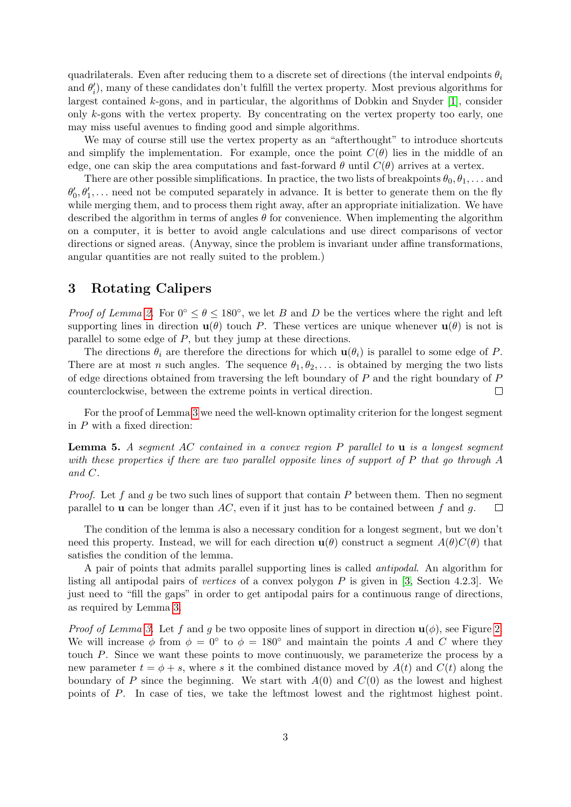quadrilaterals. Even after reducing them to a discrete set of directions (the interval endpoints  $\theta_i$ and  $\theta_i'$ ), many of these candidates don't fulfill the vertex property. Most previous algorithms for largest contained k-gons, and in particular, the algorithms of Dobkin and Snyder [\[1\]](#page-3-0), consider only k-gons with the vertex property. By concentrating on the vertex property too early, one may miss useful avenues to finding good and simple algorithms.

We may of course still use the vertex property as an "afterthought" to introduce shortcuts and simplify the implementation. For example, once the point  $C(\theta)$  lies in the middle of an edge, one can skip the area computations and fast-forward  $\theta$  until  $C(\theta)$  arrives at a vertex.

There are other possible simplifications. In practice, the two lists of breakpoints  $\theta_0, \theta_1, \ldots$  and  $\theta'_0, \theta'_1, \ldots$  need not be computed separately in advance. It is better to generate them on the fly while merging them, and to process them right away, after an appropriate initialization. We have described the algorithm in terms of angles  $\theta$  for convenience. When implementing the algorithm on a computer, it is better to avoid angle calculations and use direct comparisons of vector directions or signed areas. (Anyway, since the problem is invariant under affine transformations, angular quantities are not really suited to the problem.)

# <span id="page-2-0"></span>3 Rotating Calipers

*Proof of Lemma [2.](#page-1-3)* For  $0^{\circ} \le \theta \le 180^{\circ}$ , we let B and D be the vertices where the right and left supporting lines in direction  $\mathbf{u}(\theta)$  touch P. These vertices are unique whenever  $\mathbf{u}(\theta)$  is not is parallel to some edge of  $P$ , but they jump at these directions.

The directions  $\theta_i$  are therefore the directions for which  $\mathbf{u}(\theta_i)$  is parallel to some edge of P. There are at most n such angles. The sequence  $\theta_1, \theta_2, \ldots$  is obtained by merging the two lists of edge directions obtained from traversing the left boundary of  $P$  and the right boundary of  $P$ counterclockwise, between the extreme points in vertical direction.  $\Box$ 

For the proof of Lemma [3](#page-1-4) we need the well-known optimality criterion for the longest segment in P with a fixed direction:

**Lemma 5.** A seqment AC contained in a convex region  $P$  parallel to  $\bf{u}$  is a longest seqment with these properties if there are two parallel opposite lines of support of P that go through A and C.

*Proof.* Let f and g be two such lines of support that contain P between them. Then no segment parallel to **u** can be longer than  $AC$ , even if it just has to be contained between f and q.  $\Box$ 

The condition of the lemma is also a necessary condition for a longest segment, but we don't need this property. Instead, we will for each direction  $\mathbf{u}(\theta)$  construct a segment  $A(\theta)C(\theta)$  that satisfies the condition of the lemma.

A pair of points that admits parallel supporting lines is called antipodal. An algorithm for listing all antipodal pairs of *vertices* of a convex polygon  $P$  is given in [\[3,](#page-3-2) Section 4.2.3]. We just need to "fill the gaps" in order to get antipodal pairs for a continuous range of directions, as required by Lemma [3.](#page-1-4)

*Proof of Lemma [3.](#page-1-4)* Let f and g be two opposite lines of support in direction  $\mathbf{u}(\phi)$ , see Figure [2.](#page-3-3) We will increase  $\phi$  from  $\phi = 0^{\circ}$  to  $\phi = 180^{\circ}$  and maintain the points A and C where they touch P. Since we want these points to move continuously, we parameterize the process by a new parameter  $t = \phi + s$ , where s it the combined distance moved by  $A(t)$  and  $C(t)$  along the boundary of P since the beginning. We start with  $A(0)$  and  $C(0)$  as the lowest and highest points of P. In case of ties, we take the leftmost lowest and the rightmost highest point.